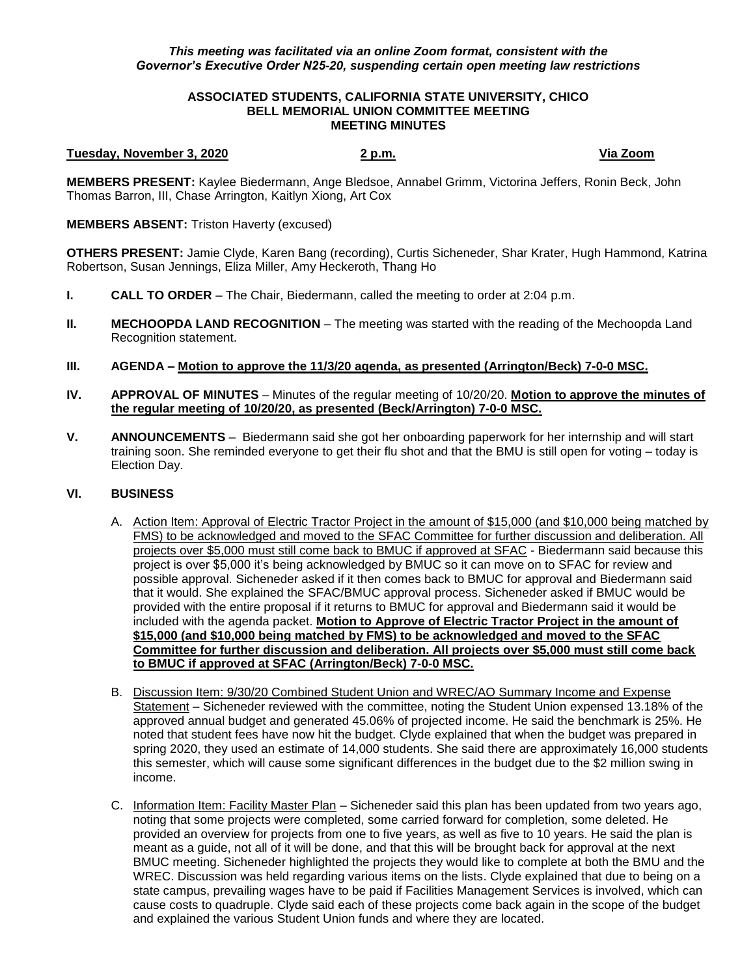### *This meeting was facilitated via an online Zoom format, consistent with the Governor's Executive Order N25-20, suspending certain open meeting law restrictions*

### **ASSOCIATED STUDENTS, CALIFORNIA STATE UNIVERSITY, CHICO BELL MEMORIAL UNION COMMITTEE MEETING MEETING MINUTES**

#### **Tuesday, November 3, 2020 2 p.m. Via Zoom**

**MEMBERS PRESENT:** Kaylee Biedermann, Ange Bledsoe, Annabel Grimm, Victorina Jeffers, Ronin Beck, John Thomas Barron, III, Chase Arrington, Kaitlyn Xiong, Art Cox

# **MEMBERS ABSENT:** Triston Haverty (excused)

**OTHERS PRESENT:** Jamie Clyde, Karen Bang (recording), Curtis Sicheneder, Shar Krater, Hugh Hammond, Katrina Robertson, Susan Jennings, Eliza Miller, Amy Heckeroth, Thang Ho

- **I. CALL TO ORDER**  The Chair, Biedermann, called the meeting to order at 2:04 p.m.
- **II. MECHOOPDA LAND RECOGNITION** The meeting was started with the reading of the Mechoopda Land Recognition statement.
- **III. AGENDA – Motion to approve the 11/3/20 agenda, as presented (Arrington/Beck) 7-0-0 MSC.**
- **IV. APPROVAL OF MINUTES** Minutes of the regular meeting of 10/20/20. **Motion to approve the minutes of the regular meeting of 10/20/20, as presented (Beck/Arrington) 7-0-0 MSC.**
- **V. ANNOUNCEMENTS** Biedermann said she got her onboarding paperwork for her internship and will start training soon. She reminded everyone to get their flu shot and that the BMU is still open for voting – today is Election Day.

# **VI. BUSINESS**

- A. Action Item: Approval of Electric Tractor Project in the amount of \$15,000 (and \$10,000 being matched by FMS) to be acknowledged and moved to the SFAC Committee for further discussion and deliberation. All projects over \$5,000 must still come back to BMUC if approved at SFAC - Biedermann said because this project is over \$5,000 it's being acknowledged by BMUC so it can move on to SFAC for review and possible approval. Sicheneder asked if it then comes back to BMUC for approval and Biedermann said that it would. She explained the SFAC/BMUC approval process. Sicheneder asked if BMUC would be provided with the entire proposal if it returns to BMUC for approval and Biedermann said it would be included with the agenda packet. **Motion to Approve of Electric Tractor Project in the amount of \$15,000 (and \$10,000 being matched by FMS) to be acknowledged and moved to the SFAC Committee for further discussion and deliberation. All projects over \$5,000 must still come back to BMUC if approved at SFAC (Arrington/Beck) 7-0-0 MSC.**
- B. Discussion Item: 9/30/20 Combined Student Union and WREC/AO Summary Income and Expense Statement – Sicheneder reviewed with the committee, noting the Student Union expensed 13.18% of the approved annual budget and generated 45.06% of projected income. He said the benchmark is 25%. He noted that student fees have now hit the budget. Clyde explained that when the budget was prepared in spring 2020, they used an estimate of 14,000 students. She said there are approximately 16,000 students this semester, which will cause some significant differences in the budget due to the \$2 million swing in income.
- C. Information Item: Facility Master Plan Sicheneder said this plan has been updated from two years ago, noting that some projects were completed, some carried forward for completion, some deleted. He provided an overview for projects from one to five years, as well as five to 10 years. He said the plan is meant as a guide, not all of it will be done, and that this will be brought back for approval at the next BMUC meeting. Sicheneder highlighted the projects they would like to complete at both the BMU and the WREC. Discussion was held regarding various items on the lists. Clyde explained that due to being on a state campus, prevailing wages have to be paid if Facilities Management Services is involved, which can cause costs to quadruple. Clyde said each of these projects come back again in the scope of the budget and explained the various Student Union funds and where they are located.